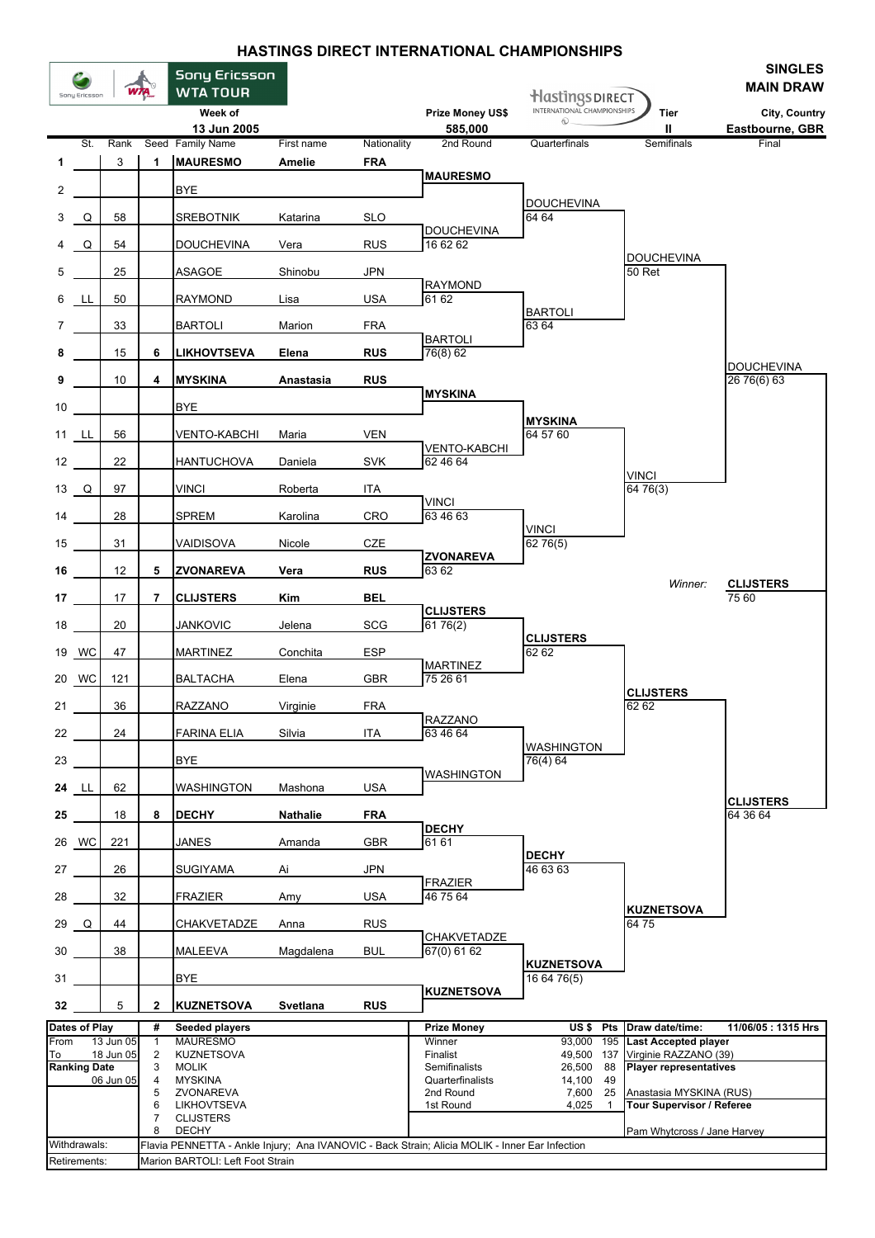## **HASTINGS DIRECT INTERNATIONAL CHAMPIONSHIPS**

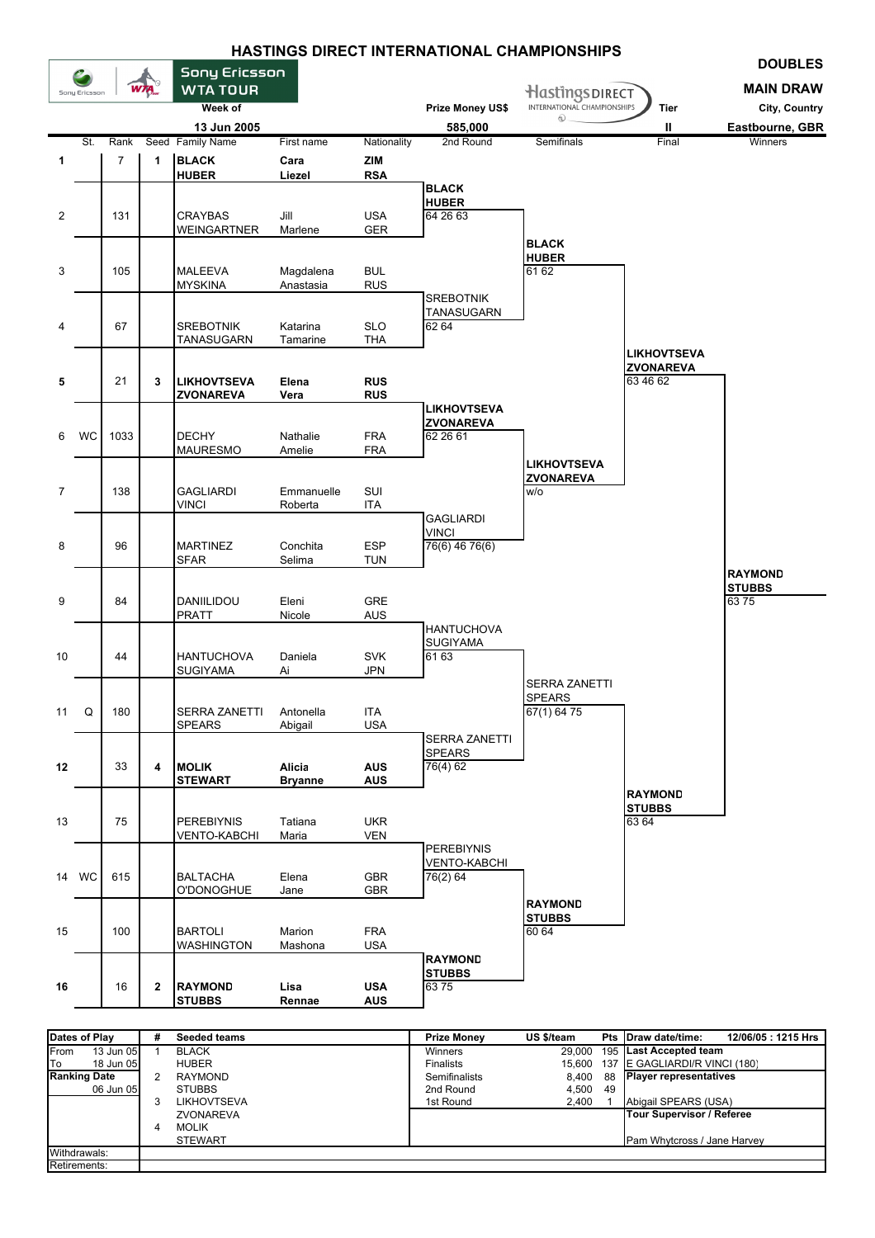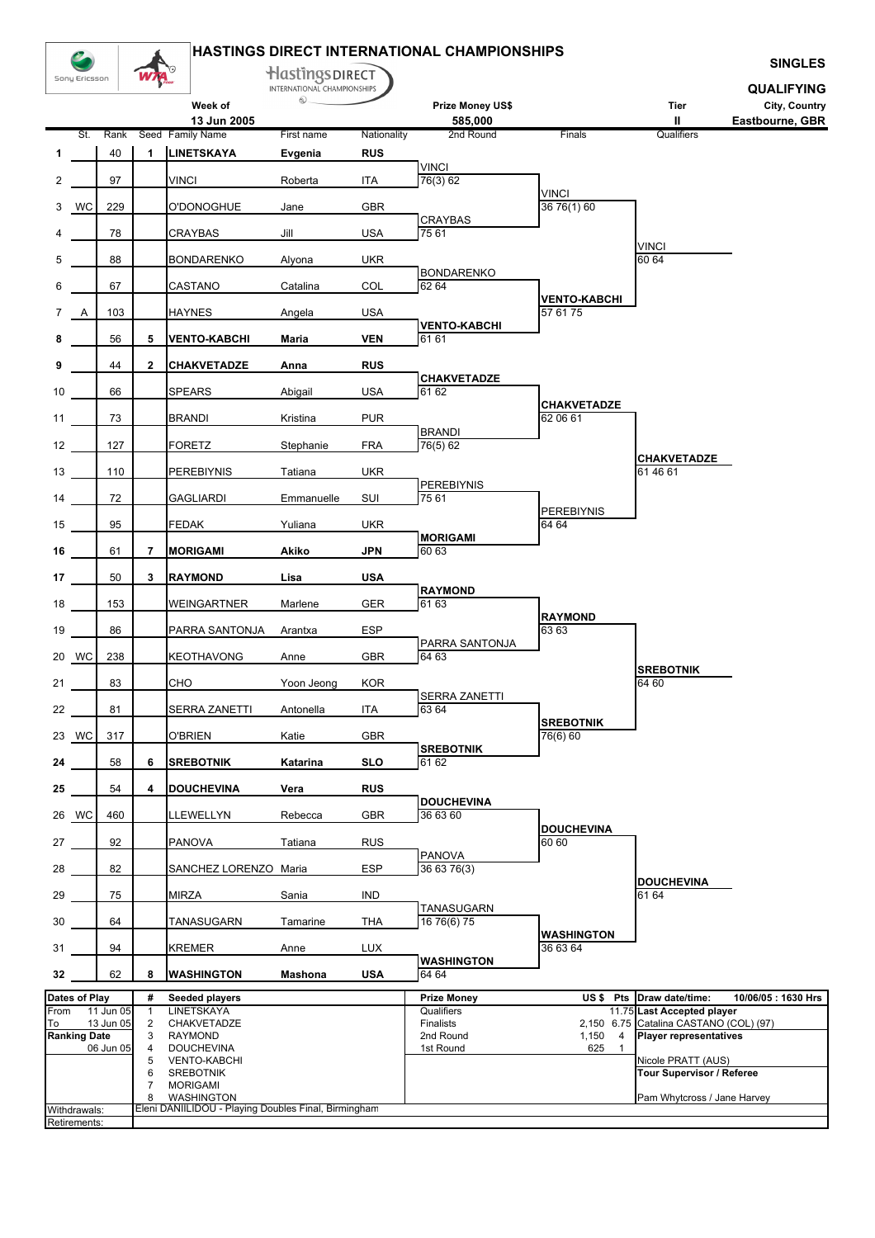|                |                      |           |                         |                                                                    | Hastings DIRECT                  |             | <b>HASTINGS DIRECT INTERNATIONAL CHAMPIONSHIPS</b> |                                |                                                                         | <b>SINGLES</b>                   |
|----------------|----------------------|-----------|-------------------------|--------------------------------------------------------------------|----------------------------------|-------------|----------------------------------------------------|--------------------------------|-------------------------------------------------------------------------|----------------------------------|
|                | Sony Ericsson        |           |                         |                                                                    | INTERNATIONAL CHAMPIONSHIPS<br>ல |             |                                                    |                                |                                                                         | <b>QUALIFYING</b>                |
|                |                      |           |                         | Week of<br>13 Jun 2005                                             |                                  |             | Prize Money US\$<br>585,000                        |                                | Tier<br>Ш                                                               | City, Country<br>Eastbourne, GBR |
|                | St.                  | Rank      |                         | Seed Family Name                                                   | First name                       | Nationality | 2nd Round                                          | Finals                         | Qualifiers                                                              |                                  |
| 1              |                      | 40        | $\mathbf{1}$            | <b>LINETSKAYA</b>                                                  | Evgenia                          | <b>RUS</b>  | <b>VINCI</b>                                       |                                |                                                                         |                                  |
| $\overline{2}$ |                      | 97        |                         | <b>VINCI</b>                                                       | Roberta                          | ITA         | 76(3) 62                                           |                                |                                                                         |                                  |
| 3              | WC                   | 229       |                         | O'DONOGHUE                                                         | Jane                             | GBR         |                                                    | <b>VINCI</b><br>36 76(1) 60    |                                                                         |                                  |
| 4              |                      | 78        |                         | CRAYBAS                                                            | Jill                             | <b>USA</b>  | <b>CRAYBAS</b><br>75 61                            |                                |                                                                         |                                  |
| 5              |                      | 88        |                         | <b>BONDARENKO</b>                                                  | Alyona                           | <b>UKR</b>  |                                                    |                                | <b>VINCI</b><br>60 64                                                   |                                  |
|                |                      | 67        |                         |                                                                    |                                  | COL         | <b>BONDARENKO</b><br>62 64                         |                                |                                                                         |                                  |
| 6              |                      |           |                         | CASTANO                                                            | Catalina                         |             |                                                    | <b>VENTO-KABCHI</b>            |                                                                         |                                  |
| $\overline{7}$ | A                    | 103       |                         | <b>HAYNES</b>                                                      | Angela                           | <b>USA</b>  | <b>VENTO-KABCHI</b>                                | 57 61 75                       |                                                                         |                                  |
| 8              |                      | 56        | 5                       | <b>VENTO-KABCHI</b>                                                | Maria                            | <b>VEN</b>  | 61 61                                              |                                |                                                                         |                                  |
| 9              |                      | 44        | $\overline{\mathbf{2}}$ | <b>CHAKVETADZE</b>                                                 | Anna                             | <b>RUS</b>  |                                                    |                                |                                                                         |                                  |
| 10             |                      | 66        |                         | <b>SPEARS</b>                                                      | Abigail                          | <b>USA</b>  | <b>CHAKVETADZE</b><br>61 62                        |                                |                                                                         |                                  |
| 11             |                      | 73        |                         | <b>BRANDI</b>                                                      | Kristina                         | <b>PUR</b>  |                                                    | <b>CHAKVETADZE</b><br>62 06 61 |                                                                         |                                  |
| 12             |                      | 127       |                         | <b>FORETZ</b>                                                      | Stephanie                        | <b>FRA</b>  | <b>BRANDI</b><br>76(5) 62                          |                                |                                                                         |                                  |
|                |                      |           |                         |                                                                    |                                  |             |                                                    |                                | CHAKVETADZE                                                             |                                  |
| 13             |                      | 110       |                         | <b>PEREBIYNIS</b>                                                  | Tatiana                          | <b>UKR</b>  | <b>PEREBIYNIS</b>                                  |                                | 61 46 61                                                                |                                  |
| 14             |                      | 72        |                         | GAGLIARDI                                                          | Emmanuelle                       | SUI         | 75 61                                              | <b>PEREBIYNIS</b>              |                                                                         |                                  |
| 15             |                      | 95        |                         | <b>FEDAK</b>                                                       | Yuliana                          | <b>UKR</b>  | <b>MORIGAMI</b>                                    | 64 64                          |                                                                         |                                  |
| 16             |                      | 61        | 7                       | <b>MORIGAMI</b>                                                    | Akiko                            | <b>JPN</b>  | 60 63                                              |                                |                                                                         |                                  |
| 17             |                      | 50        | 3                       | <b>RAYMOND</b>                                                     | Lisa                             | <b>USA</b>  |                                                    |                                |                                                                         |                                  |
| 18             |                      | 153       |                         | WEINGARTNER                                                        | Marlene                          | GER         | <b>RAYMOND</b><br>61 63                            |                                |                                                                         |                                  |
| 19             |                      | 86        |                         | PARRA SANTONJA                                                     | Arantxa                          | <b>ESP</b>  |                                                    | <b>RAYMOND</b><br>63 63        |                                                                         |                                  |
|                |                      |           |                         |                                                                    |                                  |             | PARRA SANTONJA                                     |                                |                                                                         |                                  |
|                | 20 WC                | 238       |                         | KEOTHAVONG                                                         | Anne                             | <b>GBR</b>  | 64 63                                              |                                | <b>SREBOTNIK</b>                                                        |                                  |
| 21             |                      | 83        |                         | CHO                                                                | Yoon Jeong                       | <b>KOR</b>  | SERRA ZANETTI                                      |                                | 64 60                                                                   |                                  |
| 22             |                      | 81        |                         | SERRA ZANETTI                                                      | Antonella                        | ITA         | 63 64                                              | <b>SREBOTNIK</b>               |                                                                         |                                  |
|                | 23 WC                | 317       |                         | <b>O'BRIEN</b>                                                     | Katie                            | <b>GBR</b>  |                                                    | 76(6) 60                       |                                                                         |                                  |
| 24             |                      | 58        | 6                       | <b>SREBOTNIK</b>                                                   | Katarina                         | <b>SLO</b>  | <b>SREBOTNIK</b><br>61 62                          |                                |                                                                         |                                  |
| 25             |                      | 54        | 4                       | <b>DOUCHEVINA</b>                                                  | Vera                             | <b>RUS</b>  |                                                    |                                |                                                                         |                                  |
|                |                      | 460       |                         |                                                                    |                                  |             | <b>DOUCHEVINA</b><br>36 63 60                      |                                |                                                                         |                                  |
|                | 26 WC                |           |                         | LLEWELLYN                                                          | Rebecca                          | <b>GBR</b>  |                                                    | <b>DOUCHEVINA</b>              |                                                                         |                                  |
| 27             |                      | 92        |                         | <b>PANOVA</b>                                                      | Tatiana                          | <b>RUS</b>  | <b>PANOVA</b>                                      | 60 60                          |                                                                         |                                  |
| 28             |                      | 82        |                         | SANCHEZ LORENZO Maria                                              |                                  | <b>ESP</b>  | 36 63 76(3)                                        |                                | <b>DOUCHEVINA</b>                                                       |                                  |
| 29             |                      | 75        |                         | <b>MIRZA</b>                                                       | Sania                            | IND         |                                                    |                                | 61 64                                                                   |                                  |
| 30             |                      | 64        |                         | TANASUGARN                                                         | Tamarine                         | THA         | TANASUGARN<br>16 76(6) 75                          |                                |                                                                         |                                  |
| 31             |                      | 94        |                         | <b>KREMER</b>                                                      | Anne                             | <b>LUX</b>  |                                                    | <b>WASHINGTON</b><br>36 63 64  |                                                                         |                                  |
| 32             |                      | 62        | 8                       | <b>WASHINGTON</b>                                                  | Mashona                          | <b>USA</b>  | <b>WASHINGTON</b><br>64 64                         |                                |                                                                         |                                  |
|                | <b>Dates of Play</b> |           | #                       | Seeded players                                                     |                                  |             | <b>Prize Money</b>                                 | US\$ Pts                       | Draw date/time:                                                         | 10/06/05: 1630 Hrs               |
| From           |                      | 11 Jun 05 | $\mathbf{1}$            | <b>LINETSKAYA</b>                                                  |                                  |             | Qualifiers                                         |                                | 11.75 Last Accepted player                                              |                                  |
| To             | <b>Ranking Date</b>  | 13 Jun 05 | $\overline{c}$<br>3     | CHAKVETADZE<br><b>RAYMOND</b>                                      |                                  |             | Finalists<br>2nd Round                             | 1,150<br>$\overline{4}$        | 2,150 6.75 Catalina CASTANO (COL) (97)<br><b>Player representatives</b> |                                  |
|                |                      | 06 Jun 05 | 4                       | <b>DOUCHEVINA</b>                                                  |                                  |             | 1st Round                                          | 625<br>$\mathbf{1}$            |                                                                         |                                  |
|                |                      |           | 5<br>6                  | <b>VENTO-KABCHI</b><br><b>SREBOTNIK</b>                            |                                  |             |                                                    |                                | Nicole PRATT (AUS)<br>Tour Supervisor / Referee                         |                                  |
|                |                      |           | $\overline{7}$          | <b>MORIGAMI</b>                                                    |                                  |             |                                                    |                                |                                                                         |                                  |
|                | Withdrawals:         |           | 8                       | WASHINGTON<br>Eleni DANIILIDOU - Playing Doubles Final, Birmingham |                                  |             |                                                    |                                | Pam Whytcross / Jane Harvey                                             |                                  |
|                | Retirements:         |           |                         |                                                                    |                                  |             |                                                    |                                |                                                                         |                                  |